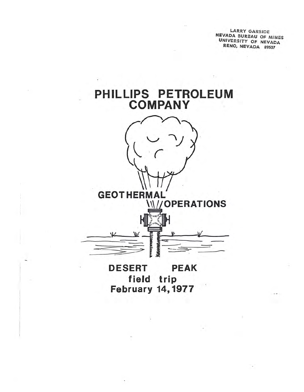LARRY GARSIDE NEVADA BUREAU OF MiNES UNIVERSITY OF NEVADA RENO, NEVADA 89507



**field trip February 14, 1977**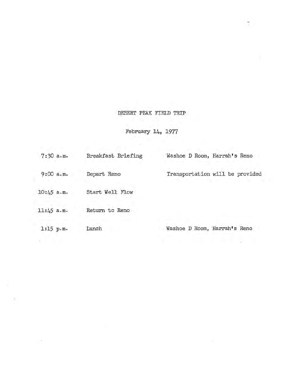## DESERT PEAK FIELD TRIP

Ť

February 14, 1977

| 7:30a.m.     | Breakfast Briefing | Washoe D Room, Harrah's Reno    |
|--------------|--------------------|---------------------------------|
| 9:00a.m.     | Depart Reno        | Transportation will be provided |
| $10:45$ a.m. | Start Well Flow    |                                 |
| $11:45$ a.m. | Return to Reno     |                                 |
| $1:15$ p.m.  | Lunch              | Washoe D Room, Harrah's Reno    |
|              |                    |                                 |

 $\sim 0.0$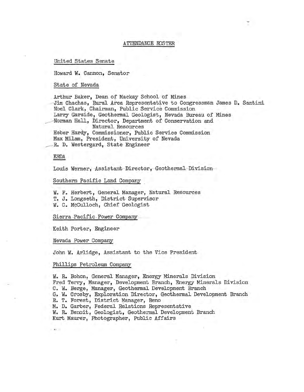#### ATTENDANCE ROSTER

### United States Senate

Howard **W.** Cannon, Senator

#### State of Nevada

Arthur Baker, Dean of Mackay School of Mines<br>Jim Chachas, Rural Area Representative to Congressman James D. Santini Noel Clark, Chairman, Public Service Commission Larry Garside, Geothermal Geologist, Nevada Bureau of Mines Norman Hall, Director, Department of Conservation and Natural Resources Heber Hardy, Commissioner, Public Service Commission Max Milam, President, University of Nevada R. D. Westergard, State Engineer

#### ERDA

 $\lambda$ 

Louis Werner, Assistant Director, Geothermal Division-

Southern Pacific Land Company

W. F. Herbert, General Manager, Natural Resources T. J. Longseth, District Supervisor W. C. McCulloch, Chief Geologist

Sierra Pacific Power Company

Keith Porter, Engineer

Nevada Power Company

John W. Arlidge, Assistant to the Vice President

#### Phillips Petroleum Company

W. R. Bohon, General Manager, Energy Minerals Division Fred Terry, Manager, Development Branch, Energy Minerals Division C. W. Berge, Manager, Geothermal Development Branch G. W. Crosby, Exploration Director, Geothermal Development Branch R. T. Forest, District Manager, Reno M. D. Garber, Federal Relations Representative W. R. Benoit, Geologist, Geothermal Development Branch Kurt Maurer, Photographer, Public Affairs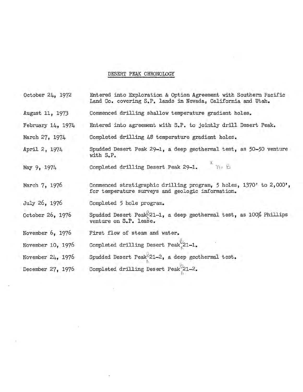# DESERT PEAK CHRONOLOGY

 $\sim 10^{11}$ 

| Entered into Exploration & Option Agreement with Southern Pacific<br>Land Co. covering S.P. lands in Nevada, California and Utah. |  |
|-----------------------------------------------------------------------------------------------------------------------------------|--|
| Commenced drilling shallow temperature gradient holes.                                                                            |  |
| Entered into agreement with S.P. to jointly drill Desert Peak.                                                                    |  |
| Completed drilling 48 temperature gradient holes.                                                                                 |  |
| Spudded Desert Peak 29-1, a deep geothermal test, as 50-50 venture<br>with S.P.                                                   |  |
| Completed drilling Desert Peak 29-1. $\frac{1}{\sqrt{2}}$ $\frac{1}{\sqrt{2}}$                                                    |  |
| Commenced stratigraphic drilling program, 5 holes, 1370' to 2,000',<br>for temperature surveys and geologic information.          |  |
| Completed 5 hole program.                                                                                                         |  |
| Spudded Desert Peak <sup>6</sup> 21-1, a deep geothermal test, as 100% Phillips<br>venture on S.P. lease.                         |  |
| First flow of steam and water.                                                                                                    |  |
| Completed drilling Desert Peak 21-1.                                                                                              |  |
| Spudded Desert Peak <sup>121-2</sup> , a deep geothermal test.                                                                    |  |
| Completed drilling Desert Peak 21-2.                                                                                              |  |
|                                                                                                                                   |  |

f,

 $\sim$   $\times$ 

 $\sim 1$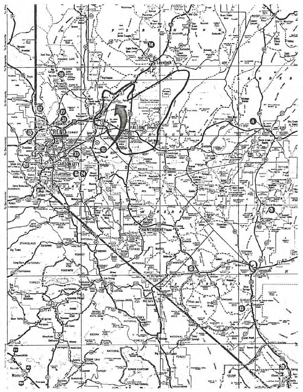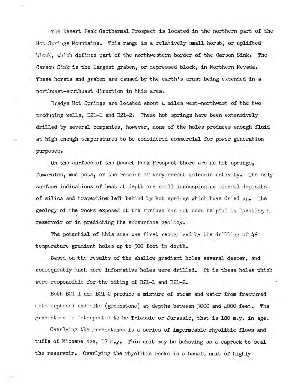The Desert Peak Geothennal Prospect is located in the northern part of the Hot Springs Mountains. This range is a relatively small horst, or uplifted block, which defines part of the northwestern border of the Carson Sink. The Carson Sink is the largest graben, or depressed block, in Northern Nevada. These horsts and graben are caused by the earth's crust being extended in a northwest-southeast direction in this area.

Bradys Hot Springs are located about  $\mu$  miles west-northwest of the two producing wells, B2l-l and B2l-2. These hot springs have been extensively drilled by several companies, however, none of the holes produces enough fluid at high enough temperatures to be considered commercial for power generation purposes.

On the surface of the Desert Peak Prospect there are no hot springs, fumaroles, mud pots, or the remains of very recent volcanic activity. The only surface indications of heat at depth are small inconspicuous mineral deposits of silica and travertine left behind by hot springs which have dried up. The geology of the rocks exposed at the surface has not been helpful in locating a reservoir or in predicting the subsurface geology.

The potential of this area was first recognized by the drilling of 48 temperature gradient holes up to 500 feet in depth.

Based on the results of the shallow gradient holes several deeper, and consequently much more infonnative holes were drilled. It is these holes which were responsible for the siting of B2l-l and B2l-2.

Both B2l-l and B2l-2 produce a mixture of steam and water from fractured metamorphosed andesite (greenstone) at depths between 3000 and 4000 feet. The greenstone is interpreted to be Triassic or Jurassic, that is 180 m.y. in age.

Overlying the greenstones is a series of impenneable rhyolitic flows and tuffs of Miocene age, 17 m.y. This unit may be behaving as a caprock to seal the reservoir. Overlying the rhyolitic rocks is a basalt unit of highly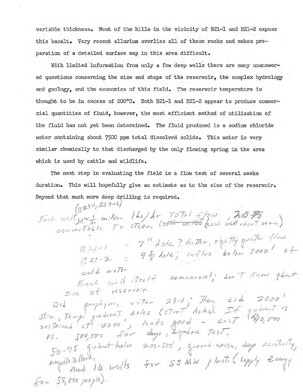variable thickness. Most of the hills in the vicinity of B21-1 and B21-2 expose this basalt. Very recent alluvium overlies all of these rocks and makes preparation of a detailed surface map in this area difficult.

With limited information from only a few deep wells there are many unanswered questions concerning the size and shape of the reservoir, the complex hydrology and geology, and the economics of this field. The reservoir temperature is thought to be in excess of 200°C. Both B21-1 and B21-2 appear to produce commercial quantities of fluid, however, the most efficient method of utilization of the fluid has not yet been determined. The fluid produced is a sodium chloride water containing about 7500 ppm total dissolved solids. This water is very similar chemically to that discharged by the only flowing spring in the area which is used by cattle and wildlife.

The next step in evaluating the field is a flow test of several weeks duration. This will hopefully give an estimate as to the size of the reservoir. Beyond that much more deep drilling is required.

 $(329-2)$  $Each well have a number of 1000, and 2000, and 3000, and 3000.$  $BAI-I = 7''$  hole 3 hotter, slightly genter flows  $1321-1 = 7$  hole s notice, signing<br> $1321-2 = 9\frac{2}{3}$  hole;  $195/10x$  below 3000 of  $|3x|-2$ <br>
cold water<br>
Each well itself commercial, don't know glout<br>
size of reservoir.<br>  $x^4$ ,  $x^3$ ,  $x^2$ ,  $x^3$ ,  $x^4$ ,  $x^3$ ,  $x^2$ ,  $x^3$ ,  $x^2$ ,  $x^3$ ,  $x^2$ ,  $x^3$ ,  $x^2$ ,  $x^3$ ,  $x^2$ ,  $x^3$ ,  $x^2$ ,  $x^3$ ,  $x^2$ , Size of reservoir.<br>
Did geophysics after 29-1; Then did 2000!<br>
Size, Temps gradient boles (stret holes). If gradient is<br>
sustained at 2000', looks good - cost 1270,000<br>
Vs. 500,000 for deep, big-bore 725T,<br>
So-75 quadrot h magneto Tellura, le velle for 55 MW planti (supply energy for 55,000 people).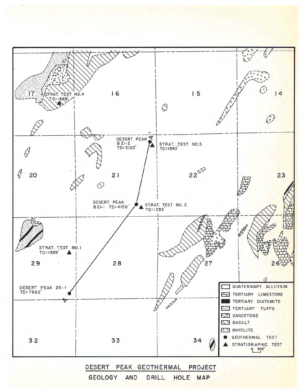**GEOLOGY** AND DRILL HOLE MAP